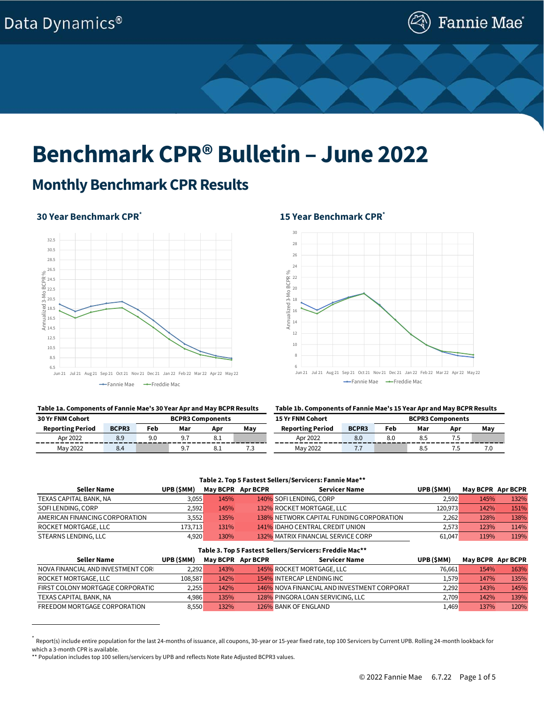

# **Benchmark CPR® Bulletin – June 2022**

## **Monthly Benchmark CPR Results**

### **30 Year Benchmark CPR\***



### **Table 1a. Components of Fannie Mae's 30 Year Apr and May BCPR Results Table 1b. Components of Fannie Mae's 15 Year Apr and May BCPR Results**

### **15 Year Benchmark CPR\***



| <b>30 Yr FNM Cohort</b><br><b>BCPR3 Components</b> |              |     |     | <b>15 Yr FNM Cohort</b> | <b>BCPR3 Components</b> |                         |              |     |     |     |     |
|----------------------------------------------------|--------------|-----|-----|-------------------------|-------------------------|-------------------------|--------------|-----|-----|-----|-----|
| <b>Reporting Period</b>                            | <b>BCPR3</b> | Feb | Mar | Apr                     | Mav                     | <b>Reporting Period</b> | <b>BCPR3</b> | Feb | Mar | Apr | May |
| Apr 2022                                           | 8.9          | 9.0 |     | õ. 1                    | _____                   | Apr 2022                | 8.0          | 8.0 |     |     |     |
| May 2022                                           |              |     |     | õ. 1                    | ل. ا                    | May 2022                |              |     | 8.5 | .   | 7.0 |

### **Table 2. Top 5 Fastest Sellers/Servicers: Fannie Mae\*\***

| Seller Name                    | UPB(\$MM) | May BCPR Apr BCPR | <b>Servicer Name</b>                     | UPB (SMM) | <b>May BCPR Apr BCPR</b> |      |
|--------------------------------|-----------|-------------------|------------------------------------------|-----------|--------------------------|------|
| TEXAS CAPITAL BANK, NA         | 3,055     | 145%              | 140% SOFI LENDING, CORP                  | 2.592     | 145%                     | 132% |
| SOFI LENDING, CORP             | 2.592     | 145%              | 132% ROCKET MORTGAGE, LLC                | 120.973   | 142%                     | 151% |
| AMERICAN FINANCING CORPORATION | 3,552     | 135%              | 138% NETWORK CAPITAL FUNDING CORPORATION | 2.262     | 128%                     | 138% |
| ROCKET MORTGAGE. LLC           | 173.713   | 131%              | 141% IDAHO CENTRAL CREDIT UNION          | 2.573     | 123%                     | 114% |
| STEARNS LENDING, LLC           | 4.920     | 130%              | 132% MATRIX FINANCIAL SERVICE CORP       | 61.047    | 119%                     | 119% |

#### **Table 3. Top 5 Fastest Sellers/Servicers: Freddie Mac\*\***

| Seller Name                        | UPB(\$MM) | May BCPR Apr BCPR | Servicer Name                               | UPB (SMM) | May BCPR Apr BCPR |      |
|------------------------------------|-----------|-------------------|---------------------------------------------|-----------|-------------------|------|
| NOVA FINANCIAL AND INVESTMENT CORL | 2,292     | 143%              | 145% ROCKET MORTGAGE, LLC                   | 76.661    | 154%              | 163% |
| ROCKET MORTGAGE, LLC               | 108,587   | 142%              | 154% INTERCAP LENDING INC                   | 1,579'    | 147%              | 135% |
| FIRST COLONY MORTGAGE CORPORATIO   | 2.255     | 142%              | 146% NOVA FINANCIAL AND INVESTMENT CORPORAT | 2.292     | 143%              | 145% |
| TEXAS CAPITAL BANK, NA             | 4.986     | 135%              | 128% PINGORA LOAN SERVICING, LLC            | 2.709     | 142%              | 139% |
| FREEDOM MORTGAGE CORPORATION       | 8.550     | 132%              | 126% BANK OF ENGLAND                        | 1,469'    | 137%              | 120% |

<sup>\*</sup> Report(s) include entire population for the last 24-months of issuance, all coupons, 30-year or 15-year fixed rate, top 100 Servicers by Current UPB. Rolling 24-month lookback for which a 3-month CPR is available.

<sup>\*\*</sup> Population includes top 100 sellers/servicers by UPB and reflects Note Rate Adjusted BCPR3 values.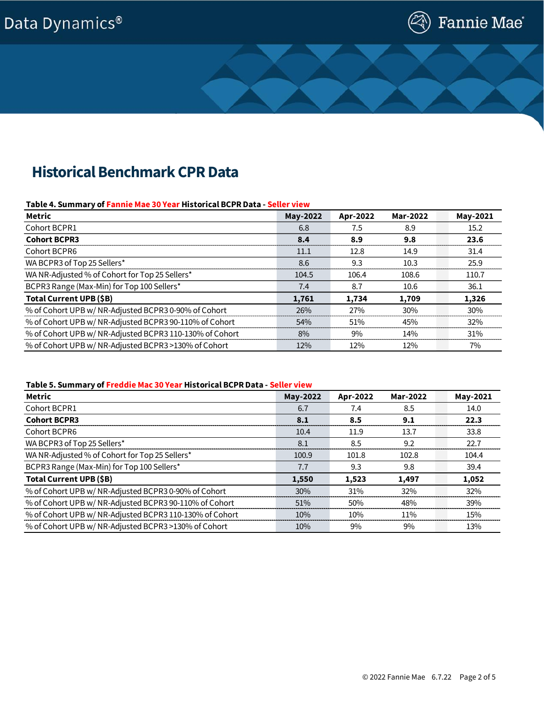# Data Dynamics®



# **Historical Benchmark CPR Data**

### **Table 4. Summary of Fannie Mae 30 Year Historical BCPR Data - Seller view**

| Metric                                                  | May-2022 | Apr-2022 | Mar-2022 | May-2021 |
|---------------------------------------------------------|----------|----------|----------|----------|
| Cohort BCPR1                                            | 6.8      | 7.5      | 8.9      | 15.2     |
| <b>Cohort BCPR3</b>                                     | 8.4      | 8.9      | 9.8      | 23.6     |
| Cohort BCPR6                                            | 11.1     | 12.8     | 14.9     | 31.4     |
| WA BCPR3 of Top 25 Sellers*                             | 8.6      | 9.3      | 10.3     | 25.9     |
| WA NR-Adjusted % of Cohort for Top 25 Sellers*          | 104.5    | 106.4    | 108.6    | 110.7    |
| BCPR3 Range (Max-Min) for Top 100 Sellers*              | 7.4      | 8.7      | 10.6     | 36.1     |
| Total Current UPB (\$B)                                 | 1,761    | 1.734    | 1,709    | 1,326    |
| % of Cohort UPB w/ NR-Adjusted BCPR3 0-90% of Cohort    | 26%      | 27%      | 30%      | 30%      |
| % of Cohort UPB w/ NR-Adjusted BCPR3 90-110% of Cohort  | 54%      | 51%      | 45%      | 32%      |
| % of Cohort UPB w/ NR-Adjusted BCPR3 110-130% of Cohort | 8%       | 9%       | 14%      | 31%      |
| % of Cohort UPB w/ NR-Adjusted BCPR3 >130% of Cohort    | 12%      | 12%      | 12%      | 7%       |

### **Table 5. Summary of Freddie Mac 30 Year Historical BCPR Data - Seller view**

| Metric                                                  | May-2022 | Apr-2022 | Mar-2022 | May-2021 |
|---------------------------------------------------------|----------|----------|----------|----------|
| Cohort BCPR1                                            | 6.7      | 7.4      | 8.5      | 14.0     |
| <b>Cohort BCPR3</b>                                     | 8.1      | 8.5      | 9.1      | 22.3     |
| Cohort BCPR6                                            | 10.4     | 11.9     | 13.7     | 33.8     |
| WA BCPR3 of Top 25 Sellers*                             | 8.1      | 8.5      | 9.2      | 22.7     |
| WA NR-Adjusted % of Cohort for Top 25 Sellers*          | 100.9    | 101.8    | 102.8    | 104.4    |
| BCPR3 Range (Max-Min) for Top 100 Sellers*              | 7.7      | 9.3      | 9.8      | 39.4     |
| Total Current UPB (\$B)                                 | 1,550    | 1.523    | 1,497    | 1,052    |
| % of Cohort UPB w/ NR-Adjusted BCPR3 0-90% of Cohort    | 30%      | 31%      | 32%      | 32%      |
| % of Cohort UPB w/ NR-Adjusted BCPR3 90-110% of Cohort  | 51%      | 50%      | 48%      | 39%      |
| % of Cohort UPB w/ NR-Adjusted BCPR3 110-130% of Cohort | 10%      | 10%      | 11%      | 15%      |
| % of Cohort UPB w/ NR-Adjusted BCPR3 >130% of Cohort    | 10%      | 9%       | 9%       | 13%      |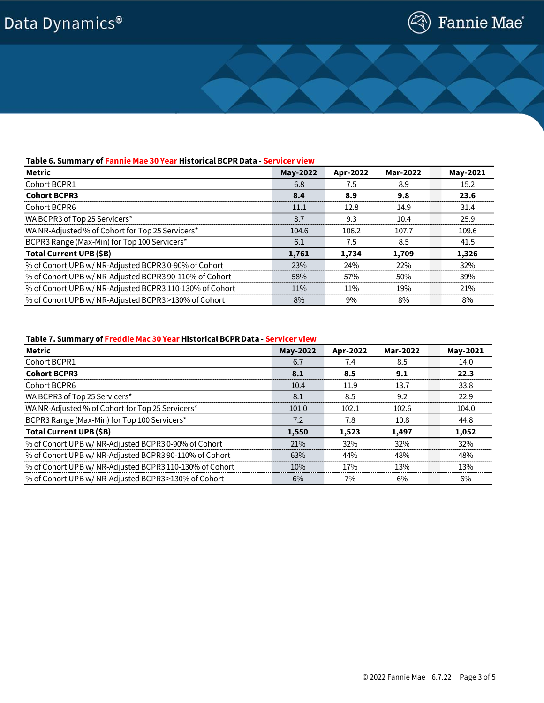# Data Dynamics®



### **Table 6. Summary of Fannie Mae 30 Year Historical BCPR Data - Servicer view**

| Metric                                                  | May-2022 | Apr-2022 | Mar-2022 | May-2021 |
|---------------------------------------------------------|----------|----------|----------|----------|
| Cohort BCPR1                                            | 6.8      | 7.5      | 8.9      | 15.2     |
| <b>Cohort BCPR3</b>                                     | 8.4      | 8.9      | 9.8      | 23.6     |
| Cohort BCPR6                                            | 11.1     | 12.8     | 14.9     | 31.4     |
| WA BCPR3 of Top 25 Servicers*                           | 8.7      | 9.3      | 10.4     | 25.9     |
| WA NR-Adjusted % of Cohort for Top 25 Servicers*        | 104.6    | 106.2    | 107.7    | 109.6    |
| BCPR3 Range (Max-Min) for Top 100 Servicers*            | 6.1      | 7.5      | 8.5      | 41.5     |
| Total Current UPB (\$B)                                 | 1,761    | 1,734    | 1,709    | 1,326    |
| % of Cohort UPB w/ NR-Adjusted BCPR3 0-90% of Cohort    | 23%      | 24%      | 22%      | 32%      |
| % of Cohort UPB w/ NR-Adjusted BCPR3 90-110% of Cohort  | 58%      | 57%      | 50%      | 39%      |
| % of Cohort UPB w/ NR-Adjusted BCPR3 110-130% of Cohort | 11%      | $11\%$   | 19%      | 21%      |
| % of Cohort UPB w/ NR-Adjusted BCPR3 >130% of Cohort    | 8%       | 9%       | 8%       | 8%       |

### **Table 7. Summary of Freddie Mac 30 Year Historical BCPR Data - Servicer view**

| Metric                                                  | May-2022 | Apr-2022   | Mar-2022 | May-2021 |
|---------------------------------------------------------|----------|------------|----------|----------|
| Cohort BCPR1                                            | 6.7      | 7.4        | 8.5      | 14.0     |
| <b>Cohort BCPR3</b>                                     | 8.1      | 8.5        | 9.1      | 22.3     |
| Cohort BCPR6                                            | 10.4     | 11.9       | 13.7     | 33.8     |
| WA BCPR3 of Top 25 Servicers*                           | 8.1      | 8.5        | 9.2      | 22.9     |
| WA NR-Adjusted % of Cohort for Top 25 Servicers*        | 101.0    | 102.1      | 102.6    | 104.0    |
| BCPR3 Range (Max-Min) for Top 100 Servicers*            | 7.2      | 7.8        | 10.8     | 44.8     |
| Total Current UPB (\$B)                                 | 1,550    | 1,523      | 1,497    | 1,052    |
| % of Cohort UPB w/ NR-Adjusted BCPR3 0-90% of Cohort    | 21%      | 32%        | 32%      | 32%      |
| % of Cohort UPB w/ NR-Adjusted BCPR3 90-110% of Cohort  | 63%      | 44%        | 48%      | 48%      |
| % of Cohort UPB w/ NR-Adjusted BCPR3 110-130% of Cohort | 10%      | <b>17%</b> | 13%      | 13%      |
| % of Cohort UPB w/ NR-Adjusted BCPR3 >130% of Cohort    | 6%       | 7%         | 6%       | 6%       |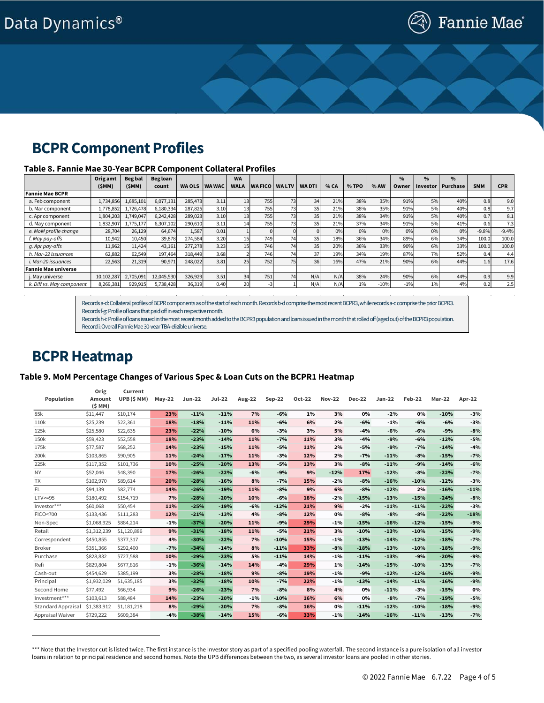# **BCPR Component Profiles**

### **Table 8. Fannie Mae 30-Year BCPR Component Collateral Profiles**

|                           | Orig amt   | <b>Begbal</b> | Beg loan   |               |               | <b>WA</b>   |                |                 |               |      |       |        | $\frac{0}{0}$ | %        | $\frac{0}{0}$ |            |                  |
|---------------------------|------------|---------------|------------|---------------|---------------|-------------|----------------|-----------------|---------------|------|-------|--------|---------------|----------|---------------|------------|------------------|
|                           | (SMM)      | (\$MM)        | count      | <b>WA OLS</b> | <b>WA WAC</b> | <b>WALA</b> | <b>WA FICO</b> | <b>WALTV</b>    | <b>WA DTI</b> | % CA | % TPO | % AW   | Owner         | Investor | Purchase      | <b>SMM</b> | <b>CPR</b>       |
| <b>Fannie Mae BCPR</b>    |            |               |            |               |               |             |                |                 |               |      |       |        |               |          |               |            |                  |
| a. Feb component          | ,734,856   | 1,685,101     | 6,077,131  | 285,473       | 3.11          |             | 755            | 73              | 34            | 21%  | 38%   | 35%    | 91%           | 5%       | 40%           | 0.8        | 9.0              |
| b. Mar component          | 1,778,852  | 1,726,478     | 6,180,334  | 287,825       | 3.10          |             | 7551           | 73 <sub>l</sub> | 35            | 21%  | 38%   | 35%    | 91%           | 5%       | 40%           | 0.8        | 9.7              |
| c. Apr component          | 1,804,203  | .749.047      | 6,242,428  | 289.023       | 3.10          |             | 755            | 73              | 35            | 21%  | 38%   | 34%    | 91%           | 5%       | 40%           | 0.7        | 8.1              |
| d. May component          | 1,832,907  | 1,775,177     | 6,307,102  | 290,610       | 3.11          |             | 7551           |                 | 35            | 21%  | 37%   | 34%    | 91%           | 5%       | 41%           | 0.6        | 7.3 <sub>1</sub> |
| e. MoM profile change     | 28,704     | 26,129        | 64,674     | 1,587         | 0.01          |             |                |                 |               | 0%   | 0%    | 0%     | 0%            | 0%       | 0%            | $-9.8%$    | $-9.4%$          |
| f. May pay-offs           | 10,942     | 10,450        | 39,878     | 274,584       | 3.20          |             | 749            | 74              | 35            | 18%  | 36%   | 34%    | 89%           | 6%       | 34%           | 100.0      | 100.0            |
| g. Apr pay-offs           | 11,962     | 11.424        | 43,161     | 277,278       | 3.23          |             | 746            | 74              | 35            | 20%  | 36%   | 33%    | 90%           | 6%       | 33%           | 100.0      | 100.0            |
| h. Mar-22 issuances       | 62,882     | 62,549        | 197.464    | 318,449       | 3.68          |             | 746            | 74              | 37            | 19%  | 34%   | 19%    | 87%           | 7%       | 52%           | 0.4        | 4.4              |
| i. Mar-20 issuances       | 22,563     | 21,319        | 90,971     | 248,022       | 3.81          | 25          | 752            | 75              | 36            | 16%  | 47%   | 21%    | 90%           | 6%       | 44%           | 1.6        | 17.6             |
| Fannie Mae universe       |            |               |            |               |               |             |                |                 |               |      |       |        |               |          |               |            |                  |
| j. May universe           | 10,102,287 | 2,705,091     | 12,045,530 | 326,929       | 3.51          | 34          | 751            | 74              | N/A           | N/A  | 38%   | 24%    | 90%           | 6%       | 44%           | 0.9        | 9.9              |
| k. Diff vs. May component | 8,269,381  | 929,915       | 5,738,428  | 36,319        | 0.40          | 20          |                |                 | N/A           | N/A  | 1%    | $-10%$ | $-1%$         | 1%       | 4%            | 0.2        | 2.5              |

Records a-d: Collateral profiles of BCPR components as of the start of each month. Records b-d comprise the most recent BCPR3, while records a-c comprise the prior BCPR3. Records f-g: Profile of loans that paid off in each respective month.

Records h-i: Profile of loans issued in the most recent month added to the BCPR3 population and loans issued in the month that rolled off (aged out) of the BCPR3 population. Record j: Overall Fannie Mae 30-year TBA-eligible universe.

### **BCPR Heatmap**

### **Table 9. MoM Percentage Changes of Various Spec & Loan Cuts on the BCPR1 Heatmap†**

|                   | Orig        | Current     |          |               |               |               |               |        |               |               |          |        |               |        |
|-------------------|-------------|-------------|----------|---------------|---------------|---------------|---------------|--------|---------------|---------------|----------|--------|---------------|--------|
| Population        | Amount      | UPB (\$ MM) | $May-22$ | <b>Jun-22</b> | <b>Jul-22</b> | <b>Aug-22</b> | <b>Sep-22</b> | Oct-22 | <b>Nov-22</b> | <b>Dec-22</b> | $Jan-22$ | Feb-22 | <b>Mar-22</b> | Apr-22 |
|                   | (SMM)       |             |          |               |               |               |               |        |               |               |          |        |               |        |
| 85k               | \$11,447    | \$10,174    | 23%      | $-11%$        | $-11%$        | 7%            | $-6%$         | 1%     | 3%            | 0%            | $-2%$    | 0%     | $-10%$        | $-3%$  |
| 110k              | \$25,239    | \$22,361    | 18%      | $-18%$        | $-11%$        | 11%           | $-6%$         | 6%     | 2%            | $-6%$         | $-1%$    | $-6%$  | $-6%$         | $-3%$  |
| 125k              | \$25,580    | \$22,635    | 23%      | $-22%$        | $-10%$        | 6%            | $-3%$         | 3%     | 5%            | $-4%$         | $-6%$    | $-6%$  | $-9%$         | $-8%$  |
| 150k              | \$59,423    | \$52,558    | 18%      | $-23%$        | $-14%$        | 11%           | $-7%$         | 11%    | 3%            | $-4%$         | $-9%$    | $-6%$  | $-12%$        | $-5%$  |
| 175k              | \$77,587    | \$68,252    | 14%      | $-23%$        | $-15%$        | 11%           | $-5%$         | 11%    | 2%            | $-5%$         | $-9%$    | $-7%$  | $-14%$        | $-4%$  |
| 200k              | \$103,865   | \$90,905    | 11%      | $-24%$        | $-17%$        | 11%           | $-3%$         | 12%    | 2%            | $-7%$         | $-11%$   | $-8%$  | $-15%$        | $-7%$  |
| 225k              | \$117,352   | \$101,736   | 10%      | $-25%$        | $-20%$        | 13%           | $-5%$         | 13%    | 3%            | $-8%$         | $-11%$   | $-9%$  | $-14%$        | $-6%$  |
| <b>NY</b>         | \$52,046    | \$48,390    | 17%      | $-26%$        | $-22%$        | $-6%$         | $-9%$         | 9%     | $-12%$        | 17%           | $-12%$   | $-8%$  | $-22%$        | $-7%$  |
| <b>TX</b>         | \$102,970   | \$89,614    | 20%      | $-28%$        | $-16%$        | 8%            | $-7%$         | 15%    | $-2%$         | $-8%$         | $-16%$   | $-10%$ | $-12%$        | $-3%$  |
| FL.               | \$94,139    | \$82,774    | 14%      | $-26%$        | $-19%$        | 11%           | $-8%$         | 9%     | 6%            | $-8%$         | $-12%$   | 2%     | $-16%$        | $-11%$ |
| $LTV \geq -95$    | \$180,492   | \$154,719   | 7%       | $-28%$        | $-20%$        | 10%           | $-6%$         | 18%    | $-2%$         | $-15%$        | $-13%$   | $-15%$ | $-24%$        | $-8%$  |
| Investor***       | \$60,068    | \$50,454    | 11%      | $-25%$        | $-19%$        | $-6%$         | $-12%$        | 21%    | 9%            | $-2%$         | $-11%$   | $-11%$ | $-22%$        | $-3%$  |
| FICO<700          | \$133,436   | \$111,283   | 12%      | $-21%$        | $-13%$        | 4%            | $-8%$         | 12%    | 0%            | $-8%$         | $-8%$    | $-8%$  | $-22%$        | $-18%$ |
| Non-Spec          | \$1,068,925 | \$884,214   | $-1\%$   | $-37%$        | $-20%$        | 11%           | $-9%$         | 29%    | $-1\%$        | $-15%$        | $-16%$   | $-12%$ | $-15%$        | $-9%$  |
| Retail            | \$1,312,239 | \$1,120,886 | 9%       | $-31%$        | $-18%$        | 11%           | $-5%$         | 21%    | 3%            | $-10%$        | $-13%$   | $-10%$ | $-15%$        | $-9%$  |
| Correspondent     | \$450,855   | \$377,317   | 4%       | $-30%$        | $-22%$        | 7%            | $-10%$        | 15%    | $-1%$         | $-13%$        | $-14%$   | $-12%$ | $-18%$        | $-7%$  |
| <b>Broker</b>     | \$351,366   | \$292,400   | $-7%$    | $-34%$        | $-14%$        | 8%            | $-11%$        | 33%    | $-8%$         | $-18%$        | $-13%$   | $-10%$ | $-18%$        | $-9%$  |
| Purchase          | \$828,832   | \$727,588   | 10%      | $-29%$        | $-23%$        | 5%            | $-11%$        | 14%    | $-1%$         | $-11%$        | $-13%$   | $-9%$  | $-20%$        | $-9%$  |
| Refi              | \$829,804   | \$677,816   | $-1\%$   | $-36%$        | $-14%$        | 14%           | $-4%$         | 29%    | 1%            | $-14%$        | $-15%$   | $-10%$ | $-13%$        | $-7%$  |
| Cash-out          | \$454,629   | \$385,199   | 3%       | $-28%$        | $-18%$        | 9%            | $-8%$         | 19%    | $-1%$         | $-9%$         | $-12%$   | $-12%$ | $-16%$        | $-9%$  |
| Principal         | \$1,932,029 | \$1,635,185 | 3%       | $-32%$        | $-18%$        | 10%           | $-7%$         | 22%    | $-1%$         | $-13%$        | $-14%$   | $-11%$ | $-16%$        | $-9%$  |
| Second Home       | \$77,492    | \$66,934    | 9%       | $-26%$        | $-23%$        | 7%            | $-8%$         | 8%     | 4%            | 0%            | $-11%$   | $-3%$  | $-15%$        | 0%     |
| Investment***     | \$103,613   | \$88,484    | 14%      | $-23%$        | $-20%$        | -1%           | $-10%$        | 16%    | 6%            | 0%            | $-8%$    | $-7%$  | $-19%$        | $-5%$  |
| Standard Appraisa | \$1,383,912 | \$1,181,218 | 8%       | $-29%$        | $-20%$        | 7%            | $-8%$         | 16%    | 0%            | $-11%$        | $-12%$   | $-10%$ | $-18%$        | $-9%$  |
| Appraisal Waiver  | \$729,222   | \$609,384   | $-4%$    | $-38%$        | $-14%$        | 15%           | $-6%$         | 33%    | $-1\%$        | $-14%$        | $-16%$   | $-11%$ | $-13%$        | $-7%$  |

<sup>\*\*\*</sup> Note that the Investor cut is listed twice. The first instance is the Investor story as part of a specified pooling waterfall. The second instance is a pure isolation of all investor loans in relation to principal residence and second homes. Note the UPB differences between the two, as several investor loans are pooled in other stories.